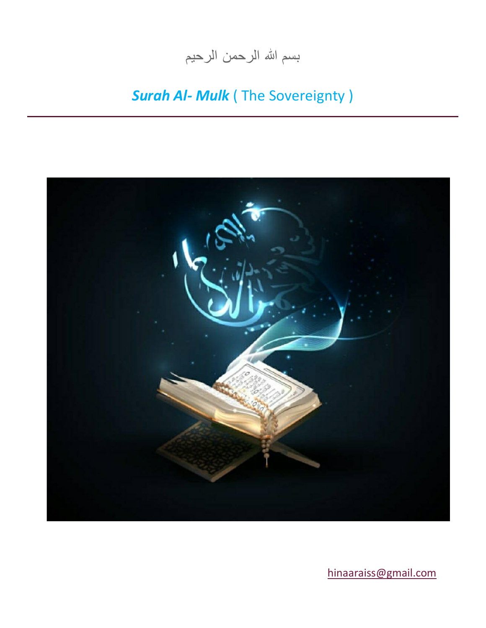## بسم الله الرحمن الرحيم

## *Surah Al- Mulk* ( The Sovereignty )



[hinaaraiss@gmail.com](mailto:hinaaraiss@gmail.com)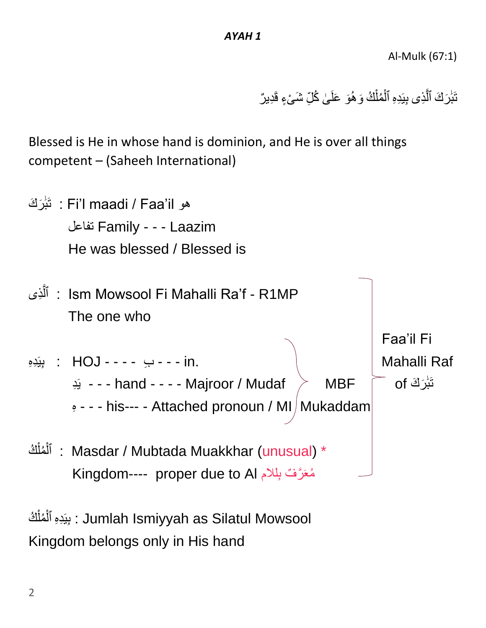Al-Mulk (67:1)

تَبَٰرَكَ ٱلَّذِى بِيَدِهِ ٱلْمُلْكُ وَهُوَ عَلَىٰ كُلِّ شَىْءٍ قَدِيرٌ َٰ ْ ْ ا َ ِ

Blessed is He in whose hand is dominion, and He is over all things competent – (Saheeh International)



بِيَ ِدِه ُك ُمل ٱل : Jumlah Ismiyyah as Silatul Mowsool ْ ْ Kingdom belongs only in His hand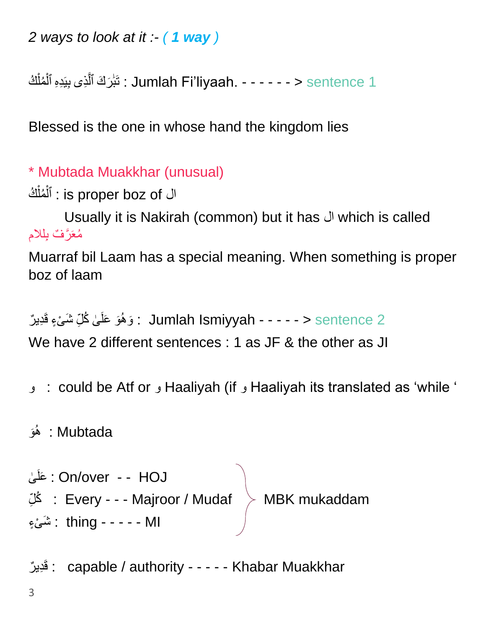*2 ways to look at it :- ( 1 way )* 

ل : تَبَٰرَكَ ٱلَّذِى بِيَدِهِ ٱلْمُلْكُ : Jumlah Fi'liyaah. - - - - - > sentence 1 َٰ ْ ْ

Blessed is the one in whose hand the kingdom lies

\* Mubtada Muakkhar (unusual)

ال is proper boz of : ٱلْمُلْكُ ْ ْ

 Usually it is Nakirah (common) but it has ال which is called مُعَرَّفٌ بِللام

Muarraf bil Laam has a special meaning. When something is proper boz of laam

ى َو َوهُ 2 sentence > - - - - - Ismiyyah Jumlah : َش قَ ِدي ر ْى ء ُك ل َعل ا َ ِ We have 2 different sentences : 1 as JF & the other as JI

و : could be Atf or و Haaliyah (if و Haaliyah its translated as 'while '

َو Mubtada : هُ

ى َعلَ : On/over - - HOJ ا ِكْ $\mathbb{Z}$  : Every - - - Majroor / Mudaf  $\;> \;$  MBK mukaddam MI - - - - - thing : َش ْى ء

فَدِيرٌ : capable / authority - - - - - Khabar Muakkhar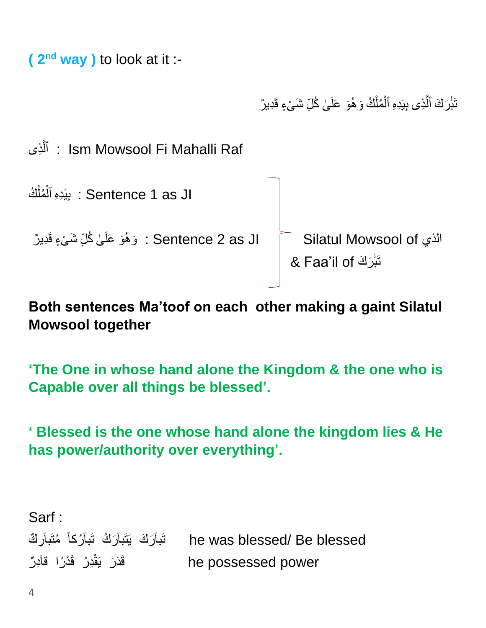**( 2 nd way )** to look at it :-

تَبَٰرَكَ ٱلَّذِى بِيَدِهِ ٱلْمُلْكُ وَهُوَ عَلَىٰ كُلِّ شَىْءٍ قَدِيرٌ َٰ ْ ْ ا َ ِ

الَذِى : Ism Mowsool Fi Mahalli Raf َّ



**Both sentences Ma'toof on each other making a gaint Silatul Mowsool together**

**'The One in whose hand alone the Kingdom & the one who is Capable over all things be blessed'.** 

**' Blessed is the one whose hand alone the kingdom lies & He has power/authority over everything'.**

Sarf : تَباَرَكَ يَتَباَرَكُ تَباَرُكاً مُتَباَرِكٌ َباَمتُ he was blessed/ Be blessed قَدَرَ يَقْدِرُ قَدْرًا قَاَدِرٌ he possessed power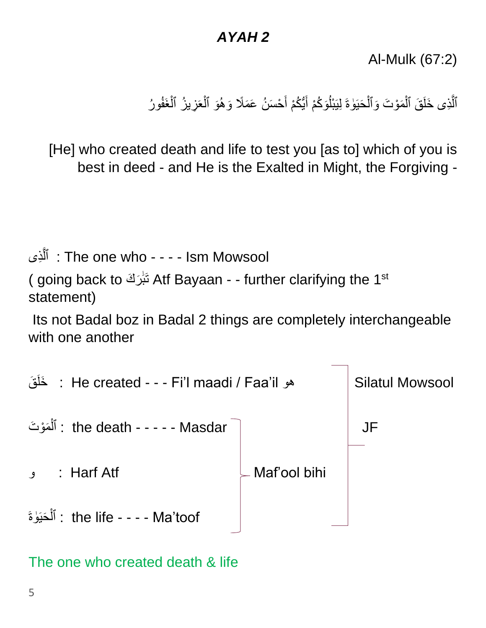## *AYAH 2*

Al-Mulk (67:2)

ٱلَّذِى خَلَقَ ٱلْمَوْتَ وَٱلْحَيَوٰةَ لِيَبْلُوَكُمْ أَيُّكُمْ أَحْسَنُ عَمَلًا وَهُوَ ٱلْعَزِيزُ ٱلْغَفُورُ ْ ْ َ ْ

[He] who created death and life to test you [as to] which of you is best in deed - and He is the Exalted in Might, the Forgiving -

ٱ ِذى ل : The one who - - - - Ism Mowsool َّ

( going back to تَبُرَكَ Atf Bayaan - - further clarifying the 1 $^{\rm st}$ ا<br>' statement)

Its not Badal boz in Badal 2 things are completely interchangeable with one another



The one who created death & life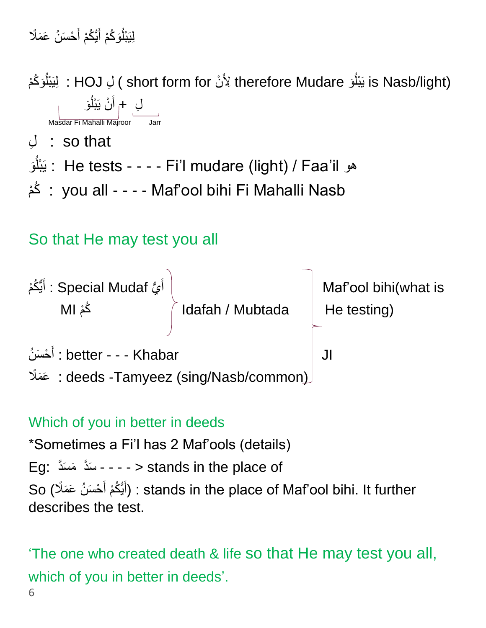لِيَبْلُوَكُمْ أَيُّكُمْ أَحْسَنُ عَمَلًا َ

is Nasb/light) ( short form for لأَنْ therefore Mudare ؛ لِيَبْلُوَكُمْ ر<br>ا ر<br>ا لِ ۖ ∔ٖ أَنْ يَبْلُوَ ۖ رَ َ ر<br>ا Masdar Fi Mahalli Majroor Jarr لِ : so that َو بلْ َي : He tests - - - - Fi'l mudare (light) / Faa'il هو ا<br>ا مْكُ : you all - - - - Maf'ool bihi Fi Mahalli Nasb So that He may test you all



## Which of you in better in deeds

\*Sometimes a Fi'l has 2 Maf'ools (details) Eg: سَدَّ مَسَدُ Eg: سَدَّ مَسَدَ So (أَيُّكُمْ أَحْسَنُ عَمَلًا) : stands in the place of Maf'ool bihi. It further َ describes the test.

'The one who created death & life so that He may test you all, which of you in better in deeds'.